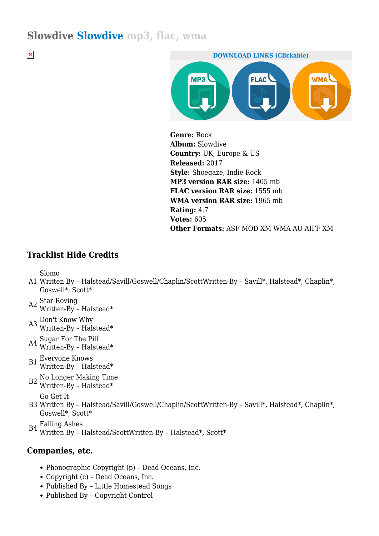# **Slowdive Slowdive mp3, flac, wma**

 $\pmb{\times}$ 



**Genre:** Rock **Album:** Slowdive **Country:** UK, Europe & US **Released:** 2017 **Style:** Shoegaze, Indie Rock **MP3 version RAR size:** 1405 mb **FLAC version RAR size:** 1555 mb **WMA version RAR size:** 1965 mb **Rating:** 4.7 **Votes:** 605 **Other Formats:** ASF MOD XM WMA AU AIFF XM

## **Tracklist Hide Credits**

Slomo

- A1 Written By Halstead/Savill/Goswell/Chaplin/ScottWritten-By Savill\*, Halstead\*, Chaplin\*, Goswell\*, Scott\*
- A2 Star Roving Written-By – Halstead\*
- A3 Don't Know Why Written-By – Halstead\*
- A4 Sugar For The Pill Written-By – Halstead\*
- $B1$  Everyone Knows Written-By - Halstead\*
- B2 No Longer Making Time Written-By Halstead\*

Go Get It

- B3 Written By Halstead/Savill/Goswell/Chaplin/ScottWritten-By Savill\*, Halstead\*, Chaplin\*, Goswell\*, Scott\*
- B4 Falling Ashes Written By – Halstead/ScottWritten-By – Halstead\*, Scott\*

## **Companies, etc.**

- Phonographic Copyright (p) Dead Oceans, Inc.
- Copyright (c) Dead Oceans, Inc.
- Published By Little Homestead Songs
- Published By Copyright Control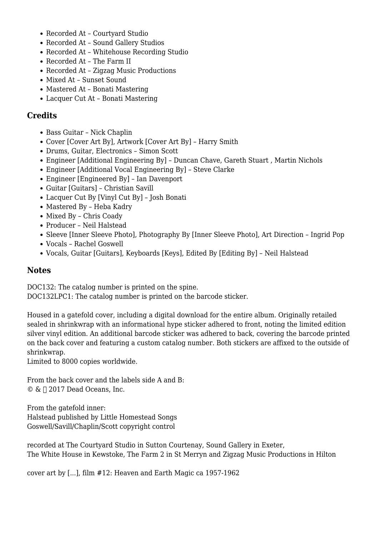- Recorded At Courtvard Studio
- Recorded At Sound Gallery Studios
- Recorded At Whitehouse Recording Studio
- Recorded At The Farm II
- Recorded At Zigzag Music Productions
- Mixed At Sunset Sound
- Mastered At Bonati Mastering
- Lacquer Cut At Bonati Mastering

## **Credits**

- Bass Guitar Nick Chaplin
- Cover [Cover Art By], Artwork [Cover Art By] Harry Smith
- Drums, Guitar, Electronics Simon Scott
- Engineer [Additional Engineering By] Duncan Chave, Gareth Stuart , Martin Nichols
- Engineer [Additional Vocal Engineering By] Steve Clarke
- Engineer [Engineered By] Ian Davenport
- Guitar [Guitars] Christian Savill
- Lacquer Cut By [Vinyl Cut By] Josh Bonati
- Mastered By Heba Kadry
- Mixed By Chris Coady
- Producer Neil Halstead
- Sleeve [Inner Sleeve Photo], Photography By [Inner Sleeve Photo], Art Direction Ingrid Pop
- Vocals Rachel Goswell
- Vocals, Guitar [Guitars], Keyboards [Keys], Edited By [Editing By] Neil Halstead

#### **Notes**

DOC132: The catalog number is printed on the spine.

DOC132LPC1: The catalog number is printed on the barcode sticker.

Housed in a gatefold cover, including a digital download for the entire album. Originally retailed sealed in shrinkwrap with an informational hype sticker adhered to front, noting the limited edition silver vinyl edition. An additional barcode sticker was adhered to back, covering the barcode printed on the back cover and featuring a custom catalog number. Both stickers are affixed to the outside of shrinkwrap.

Limited to 8000 copies worldwide.

From the back cover and the labels side A and B:  $\circ$  &  $\Box$  2017 Dead Oceans, Inc.

From the gatefold inner: Halstead published by Little Homestead Songs Goswell/Savill/Chaplin/Scott copyright control

recorded at The Courtyard Studio in Sutton Courtenay, Sound Gallery in Exeter, The White House in Kewstoke, The Farm 2 in St Merryn and Zigzag Music Productions in Hilton

cover art by [...], film #12: Heaven and Earth Magic ca 1957-1962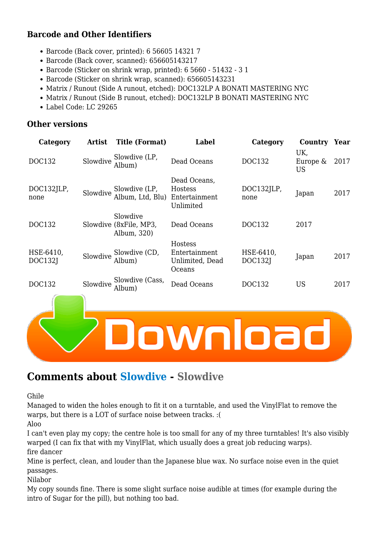# **Barcode and Other Identifiers**

- Barcode (Back cover, printed): 6 56605 14321 7
- Barcode (Back cover, scanned): 656605143217
- Barcode (Sticker on shrink wrap, printed): 6 5660 51432 3 1
- Barcode (Sticker on shrink wrap, scanned): 656605143231
- Matrix / Runout (Side A runout, etched): DOC132LP A BONATI MASTERING NYC
- Matrix / Runout (Side B runout, etched): DOC132LP B BONATI MASTERING NYC
- Label Code: LC 29265

#### **Other versions**

| Category             | <b>Artist</b> | <b>Title (Format)</b>                             | Label                                                 | Category                    | Country                      | Year |
|----------------------|---------------|---------------------------------------------------|-------------------------------------------------------|-----------------------------|------------------------------|------|
| <b>DOC132</b>        | Slowdive      | Slowdive (LP,<br>Album)                           | Dead Oceans                                           | DOC132                      | UK,<br>Europe &<br><b>US</b> | 2017 |
| DOC132JLP,<br>none   | Slowdive      | Slowdive (LP,<br>Album, Ltd, Blu)                 | Dead Oceans,<br>Hostess<br>Entertainment<br>Unlimited | DOC132JLP,<br>none          | Japan                        | 2017 |
| DOC132               |               | Slowdive<br>Slowdive (8xFile, MP3,<br>Album, 320) | Dead Oceans                                           | DOC132                      | 2017                         |      |
| HSE-6410,<br>DOC132J | Slowdive      | Slowdive (CD,<br>Album)                           | Hostess<br>Entertainment<br>Unlimited, Dead<br>Oceans | HSE-6410,<br><b>DOC132J</b> | Japan                        | 2017 |
| DOC132               | Slowdive      | Slowdive (Cass,<br>Album)                         | Dead Oceans                                           | DOC132                      | <b>US</b>                    | 2017 |
|                      |               |                                                   |                                                       |                             |                              |      |

# **Comments about Slowdive - Slowdive**

Ghile

Managed to widen the holes enough to fit it on a turntable, and used the VinylFlat to remove the warps, but there is a LOT of surface noise between tracks. :(

Aloo

I can't even play my copy; the centre hole is too small for any of my three turntables! It's also visibly warped (I can fix that with my VinylFlat, which usually does a great job reducing warps). fire dancer

Mine is perfect, clean, and louder than the Japanese blue wax. No surface noise even in the quiet passages.

Nilabor

My copy sounds fine. There is some slight surface noise audible at times (for example during the intro of Sugar for the pill), but nothing too bad.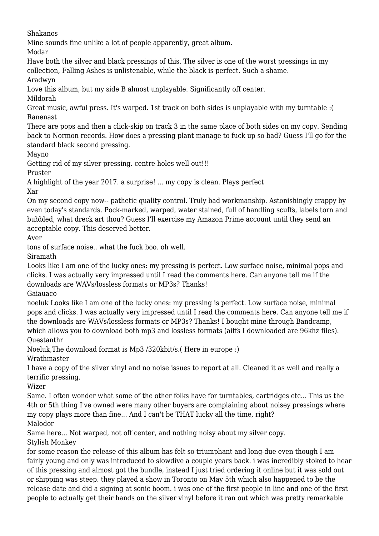Shakanos

Mine sounds fine unlike a lot of people apparently, great album.

Modar

Have both the silver and black pressings of this. The silver is one of the worst pressings in my collection, Falling Ashes is unlistenable, while the black is perfect. Such a shame.

Aradwyn

Love this album, but my side B almost unplayable. Significantly off center.

Mildorah

Great music, awful press. It's warped. 1st track on both sides is unplayable with my turntable :( Ranenast

There are pops and then a click-skip on track 3 in the same place of both sides on my copy. Sending back to Normon records. How does a pressing plant manage to fuck up so bad? Guess I'll go for the standard black second pressing.

Mayno

Getting rid of my silver pressing. centre holes well out!!!

Pruster

A highlight of the year 2017. a surprise! ... my copy is clean. Plays perfect Xar

On my second copy now-- pathetic quality control. Truly bad workmanship. Astonishingly crappy by even today's standards. Pock-marked, warped, water stained, full of handling scuffs, labels torn and bubbled, what dreck art thou? Guess I'll exercise my Amazon Prime account until they send an acceptable copy. This deserved better.

Aver

tons of surface noise.. what the fuck boo. oh well.

Siramath

Looks like I am one of the lucky ones: my pressing is perfect. Low surface noise, minimal pops and clicks. I was actually very impressed until I read the comments here. Can anyone tell me if the downloads are WAVs/lossless formats or MP3s? Thanks!

Gaiauaco

noeluk Looks like I am one of the lucky ones: my pressing is perfect. Low surface noise, minimal pops and clicks. I was actually very impressed until I read the comments here. Can anyone tell me if the downloads are WAVs/lossless formats or MP3s? Thanks! I bought mine through Bandcamp, which allows you to download both mp3 and lossless formats (aiffs I downloaded are 96khz files). Questanthr

Noeluk,The download format is Mp3 /320kbit/s.( Here in europe :)

Wrathmaster

I have a copy of the silver vinyl and no noise issues to report at all. Cleaned it as well and really a terrific pressing.

Wizer

Same. I often wonder what some of the other folks have for turntables, cartridges etc... This us the 4th or 5th thing I've owned were many other buyers are complaining about noisey pressings where my copy plays more than fine... And I can't be THAT lucky all the time, right? Malodor

Same here... Not warped, not off center, and nothing noisy about my silver copy. Stylish Monkey

for some reason the release of this album has felt so triumphant and long-due even though I am fairly young and only was introduced to slowdive a couple years back. i was incredibly stoked to hear of this pressing and almost got the bundle, instead I just tried ordering it online but it was sold out or shipping was steep. they played a show in Toronto on May 5th which also happened to be the release date and did a signing at sonic boom. i was one of the first people in line and one of the first people to actually get their hands on the silver vinyl before it ran out which was pretty remarkable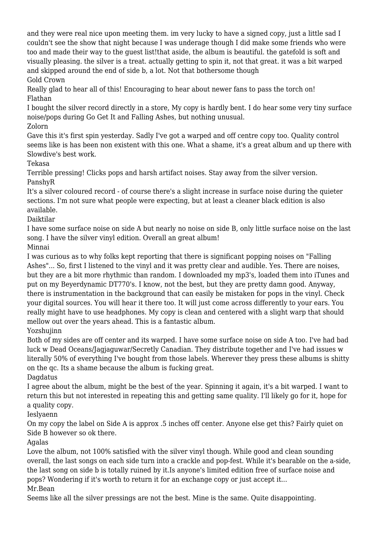and they were real nice upon meeting them. im very lucky to have a signed copy, just a little sad I couldn't see the show that night because I was underage though I did make some friends who were too and made their way to the guest list!that aside, the album is beautiful. the gatefold is soft and visually pleasing. the silver is a treat. actually getting to spin it, not that great. it was a bit warped and skipped around the end of side b, a lot. Not that bothersome though Gold Crown

Really glad to hear all of this! Encouraging to hear about newer fans to pass the torch on! Flathan

I bought the silver record directly in a store, My copy is hardly bent. I do hear some very tiny surface noise/pops during Go Get It and Falling Ashes, but nothing unusual.

Zolorn

Gave this it's first spin yesterday. Sadly I've got a warped and off centre copy too. Quality control seems like is has been non existent with this one. What a shame, it's a great album and up there with Slowdive's best work.

Tekasa

Terrible pressing! Clicks pops and harsh artifact noises. Stay away from the silver version. PanshyR

It's a silver coloured record - of course there's a slight increase in surface noise during the quieter sections. I'm not sure what people were expecting, but at least a cleaner black edition is also available.

Daiktilar

I have some surface noise on side A but nearly no noise on side B, only little surface noise on the last song. I have the silver vinyl edition. Overall an great album!

Minnai

I was curious as to why folks kept reporting that there is significant popping noises on "Falling Ashes"... So, first I listened to the vinyl and it was pretty clear and audible. Yes. There are noises, but they are a bit more rhythmic than random. I downloaded my mp3's, loaded them into iTunes and put on my Beyerdynamic DT770's. I know, not the best, but they are pretty damn good. Anyway, there is instrumentation in the background that can easily be mistaken for pops in the vinyl. Check your digital sources. You will hear it there too. It will just come across differently to your ears. You really might have to use headphones. My copy is clean and centered with a slight warp that should mellow out over the years ahead. This is a fantastic album.

Yozshujinn

Both of my sides are off center and its warped. I have some surface noise on side A too. I've had bad luck w Dead Oceans/Jagjaguwar/Secretly Canadian. They distribute together and I've had issues w literally 50% of everything I've bought from those labels. Wherever they press these albums is shitty on the qc. Its a shame because the album is fucking great.

Dagdatus I agree about the album, might be the best of the year. Spinning it again, it's a bit warped. I want to return this but not interested in repeating this and getting same quality. I'll likely go for it, hope for a quality copy.

Ieslyaenn

On my copy the label on Side A is approx .5 inches off center. Anyone else get this? Fairly quiet on Side B however so ok there.

Agalas

Love the album, not 100% satisfied with the silver vinyl though. While good and clean sounding overall, the last songs on each side turn into a crackle and pop-fest. While it's bearable on the a-side, the last song on side b is totally ruined by it.Is anyone's limited edition free of surface noise and pops? Wondering if it's worth to return it for an exchange copy or just accept it...

Mr.Bean

Seems like all the silver pressings are not the best. Mine is the same. Quite disappointing.